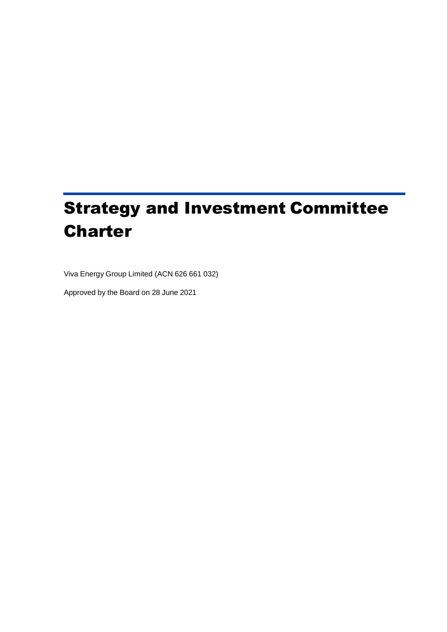# Strategy and Investment Committee **Charter**

Viva Energy Group Limited (ACN 626 661 032)

Approved by the Board on 28 June 2021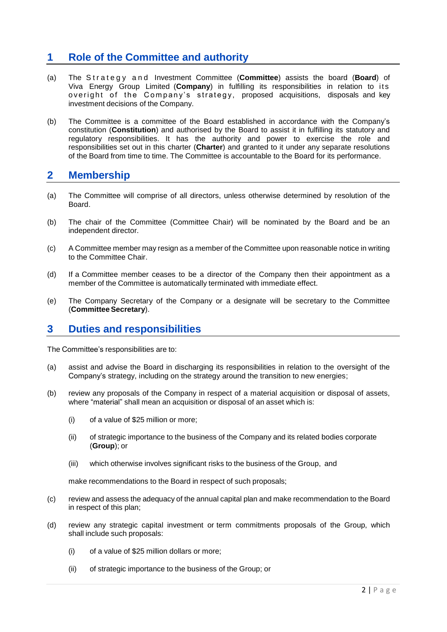## **1 Role of the Committee and authority**

- (a) The Strategy and Investment Committee (**Committee**) assists the board (**Board**) of Viva Energy Group Limited (**Company**) in fulfilling its responsibilities in relation to it s overight of the Company's strategy, proposed acquisitions, disposals and key investment decisions of the Company.
- (b) The Committee is a committee of the Board established in accordance with the Company's constitution (**Constitution**) and authorised by the Board to assist it in fulfilling its statutory and regulatory responsibilities. It has the authority and power to exercise the role and responsibilities set out in this charter (**Charter**) and granted to it under any separate resolutions of the Board from time to time. The Committee is accountable to the Board for its performance.

#### **2 Membership**

- (a) The Committee will comprise of all directors, unless otherwise determined by resolution of the Board.
- (b) The chair of the Committee (Committee Chair) will be nominated by the Board and be an independent director.
- (c) A Committee member may resign as a member of the Committee upon reasonable notice in writing to the Committee Chair.
- (d) If a Committee member ceases to be a director of the Company then their appointment as a member of the Committee is automatically terminated with immediate effect.
- (e) The Company Secretary of the Company or a designate will be secretary to the Committee (**Committee Secretary**).

### **3 Duties and responsibilities**

The Committee's responsibilities are to:

- (a) assist and advise the Board in discharging its responsibilities in relation to the oversight of the Company's strategy, including on the strategy around the transition to new energies;
- (b) review any proposals of the Company in respect of a material acquisition or disposal of assets, where "material" shall mean an acquisition or disposal of an asset which is:
	- (i) of a value of \$25 million or more;
	- (ii) of strategic importance to the business of the Company and its related bodies corporate (**Group**); or
	- (iii) which otherwise involves significant risks to the business of the Group, and

make recommendations to the Board in respect of such proposals;

- (c) review and assess the adequacy of the annual capital plan and make recommendation to the Board in respect of this plan;
- (d) review any strategic capital investment or term commitments proposals of the Group, which shall include such proposals:
	- (i) of a value of \$25 million dollars or more;
	- (ii) of strategic importance to the business of the Group; or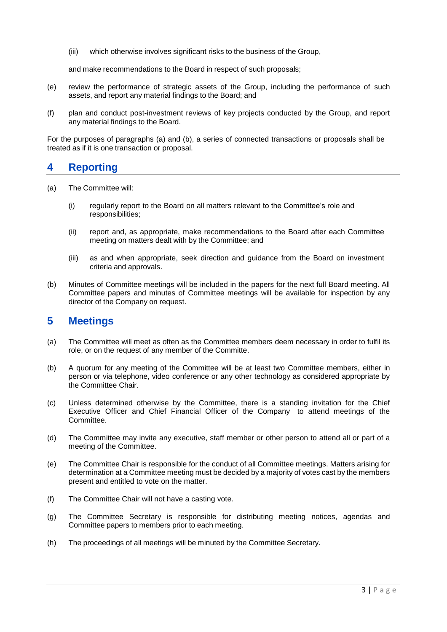(iii) which otherwise involves significant risks to the business of the Group,

and make recommendations to the Board in respect of such proposals;

- (e) review the performance of strategic assets of the Group, including the performance of such assets, and report any material findings to the Board; and
- (f) plan and conduct post-investment reviews of key projects conducted by the Group, and report any material findings to the Board.

For the purposes of paragraphs (a) and (b), a series of connected transactions or proposals shall be treated as if it is one transaction or proposal.

## **4 Reporting**

- (a) The Committee will:
	- (i) regularly report to the Board on all matters relevant to the Committee's role and responsibilities;
	- (ii) report and, as appropriate, make recommendations to the Board after each Committee meeting on matters dealt with by the Committee; and
	- (iii) as and when appropriate, seek direction and guidance from the Board on investment criteria and approvals.
- (b) Minutes of Committee meetings will be included in the papers for the next full Board meeting. All Committee papers and minutes of Committee meetings will be available for inspection by any director of the Company on request.

#### **5 Meetings**

- (a) The Committee will meet as often as the Committee members deem necessary in order to fulfil its role, or on the request of any member of the Committe.
- (b) A quorum for any meeting of the Committee will be at least two Committee members, either in person or via telephone, video conference or any other technology as considered appropriate by the Committee Chair.
- (c) Unless determined otherwise by the Committee, there is a standing invitation for the Chief Executive Officer and Chief Financial Officer of the Company to attend meetings of the Committee.
- (d) The Committee may invite any executive, staff member or other person to attend all or part of a meeting of the Committee.
- (e) The Committee Chair is responsible for the conduct of all Committee meetings. Matters arising for determination at a Committee meeting must be decided by a majority of votes cast by the members present and entitled to vote on the matter.
- (f) The Committee Chair will not have a casting vote.
- (g) The Committee Secretary is responsible for distributing meeting notices, agendas and Committee papers to members prior to each meeting.
- (h) The proceedings of all meetings will be minuted by the Committee Secretary.